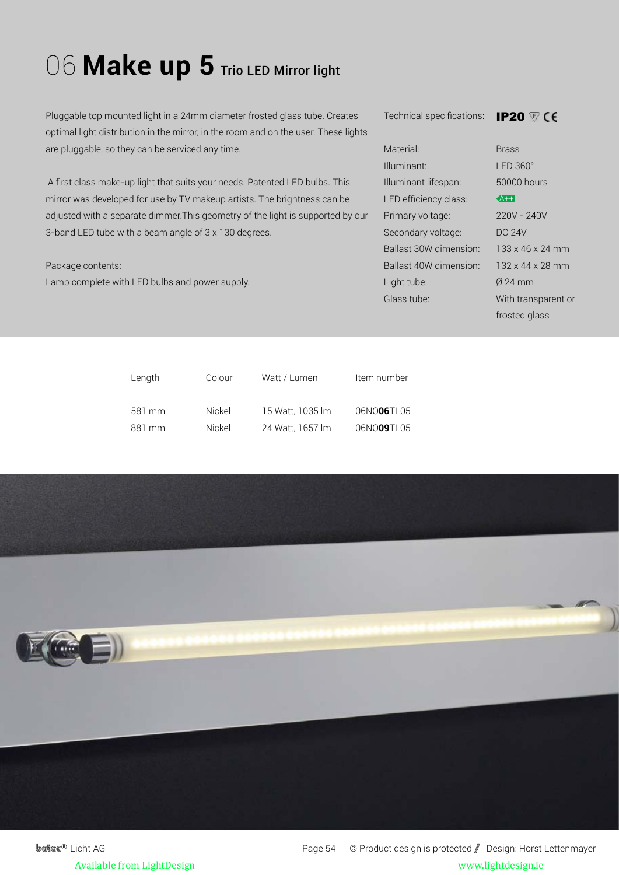## 06 Make up 5 Trio LED Mirror light

Pluggable top mounted light in a 24mm diameter frosted glass tube. Creates optimal light distribution in the mirror, in the room and on the user. These lights are pluggable, so they can be serviced any time.

 A first class make-up light that suits your needs. Patented LED bulbs. This mirror was developed for use by TV makeup artists. The brightness can be adjusted with a separate dimmer.This geometry of the light is supported by our 3-band LED tube with a beam angle of 3 x 130 degrees.

## Package contents:

Lamp complete with LED bulbs and power supply.

Technical specifications:

**IP20 ₩** CE

| Material <sup>.</sup>   | <b>Brass</b>                 |
|-------------------------|------------------------------|
| Illuminant <sup>.</sup> | $IFD.360^\circ$              |
| Illuminant lifespan:    | 50000 hours                  |
| LED efficiency class:   | $A++$                        |
| Primary voltage:        | $220V - 240V$                |
| Secondary voltage:      | DC 24V                       |
| Ballast 30W dimension:  | $133 \times 46 \times 24$ mm |
| Ballast 40W dimension:  | $132 \times 44 \times 28$ mm |
| Light tube:             | $0.24$ mm                    |
| Glass tube:             | With transparent or          |
|                         |                              |

frosted glass

| Length | Colour | Watt / Lumen     | Item number |
|--------|--------|------------------|-------------|
| 581 mm | Nickel | 15 Watt, 1035 lm | 06NO06TL05  |
| 881 mm | Nickel | 24 Watt, 1657 lm | 06NO09TL05  |



**betec<sup>®</sup>** Licht AG Page 54 © Product design is protected / Design: Horst Lettenmayer Available from LightDesign www.lightdesign.ie